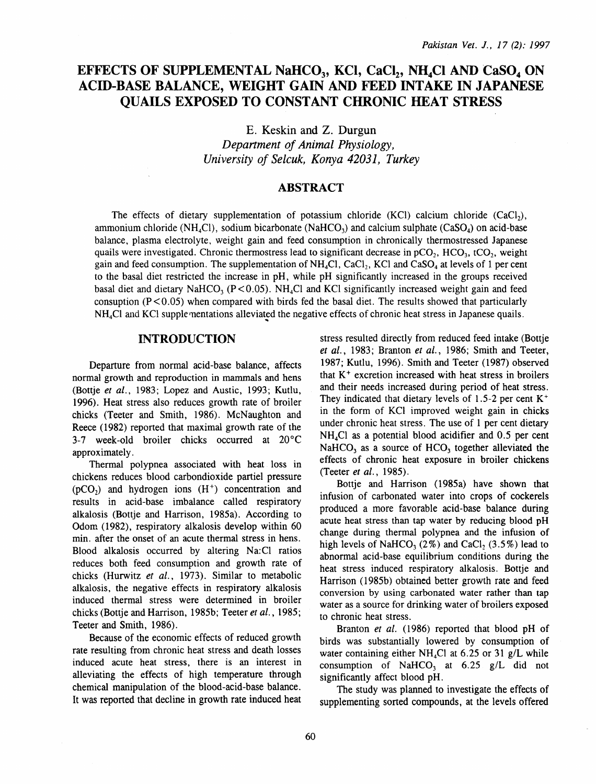# EFFECTS OF SUPPLEMENTAL NaHCO<sub>3</sub>, KCI, CaCl<sub>2</sub>, NH<sub>4</sub>Cl AND CaSO<sub>4</sub> ON **ACID-BASE BALANCE, WEIGHT GAIN AND FEED INTAKE IN JAPANESE QUAILS EXPOSED TO CONSTANT CHRONIC HEAT STRESS**

E. Keskin and Z. Durgun *Department of Animal Physiology, University of Selcuk, Konya 42031, Turkey* 

### **ABSTRACT**

The effects of dietary supplementation of potassium chloride (KCl) calcium chloride  $(CaCl<sub>2</sub>)$ , ammonium chloride (NH<sub>4</sub>Cl), sodium bicarbonate (NaHCO<sub>3</sub>) and calcium sulphate (CaSO<sub>4</sub>) on acid-base balance, plasma electrolyte, weight gain and feed consumption in chronically thermostressed Japanese quails were investigated. Chronic thermostress lead to significant decrease in  $pCO<sub>2</sub>$ , HCO<sub>3</sub>, tCO<sub>2</sub>, weight gain and feed consumption. The supplementation of  $NH<sub>4</sub>Cl$ , CaCl<sub>2</sub>, KCl and CaSO<sub>4</sub> at levels of 1 per cent to the basal diet restricted the increase in pH, while pH significantly increased in the groups received basal diet and dietary NaHCO<sub>3</sub> (P < 0.05). NH<sub>4</sub>Cl and KCl significantly increased weight gain and feed consuption  $(P<0.05)$  when compared with birds fed the basal diet. The results showed that particularly  $NH<sub>4</sub>Cl$  and KCl supple-mentations alleviated the negative effects of chronic heat stress in Japanese quails.

### **INTRODUCTION**

Departure from normal acid-base balance, affects normal growth and reproduction in mammals and hens (Bottje *et al.,* 1983; Lopez and Austic, 1993; Kutlu, 1996). Heat stress also reduces growth rate of broiler chicks (Teeter and Smith, 1986). McNaughton and Reece (1982) reported that maximal growth rate of the 3-7 week-old broiler chicks occurred at 20°C approximately.

Thermal polypnea associated with heat loss in chickens reduces blood carbondioxide partiel pressure  $(pCO<sub>2</sub>)$  and hydrogen ions  $(H<sup>+</sup>)$  concentration and results in acid-base imbalance called respiratory alkalosis (Bottje and Harrison, 1985a). According to Odom (1982), respiratory alkalosis develop within 60 min. after the onset of an acute thermal stress in hens. Blood alkalosis occurred by altering Na:Cl ratios reduces both feed consumption and growth rate of chicks (Hurwitz *et al.,* 1973). Similar to metabolic alkalosis, the negative effects in respiratory alkalosis induced thermal stress were determined in broiler chicks (Bottje and Harrison, 1985b; Teeter *et al.,* 1985; Teeter and Smith, 1986).

Because of the economic effects of reduced growth rate resulting from chronic heat stress and death losses induced acute heat stress, there is an interest in alleviating the effects of high temperature through chemical manipulation of the blood-acid-base balance. It was reported that decline in growth rate induced heat

stress resulted directly from reduced feed intake (Bottje *et al.,* 1983; Branton *et al.* , 1986; Smith and Teeter, 1987; Kutlu, 1996). Smith and Teeter ( 1987) observed that  $K<sup>+</sup>$  excretion increased with heat stress in broilers and their needs increased during period of heat stress. They indicated that dietary levels of 1.5-2 per cent  $K^+$ in the form of KCl improved weight gain in chicks under chronic heat stress. The use of 1 per cent dietary NH4Cl as a potential blood acidifier and 0.5 per cent  $NaHCO<sub>3</sub>$  as a source of  $HCO<sub>3</sub>$  together alleviated the effects of chronic heat exposure in broiler chickens (Teeter *et al.,* 1985).

Bottje and Harrison (1985a) have shown that infusion of carbonated water into crops of cockerels produced a more favorable acid-base balance during acute heat stress than tap water by reducing blood pH change during thermal polypnea and the infusion of high levels of NaHCO<sub>3</sub> (2%) and CaCl<sub>2</sub> (3.5%) lead to abnormal acid-base equilibrium conditions during the heat stress induced respiratory alkalosis. Bottje and Harrison (1985b) obtained better growth rate and feed conversion by using carbonated water rather than tap water as a source for drinking water of broilers exposed to chronic heat stress.

Branton *et al.* (1986) reported that blood pH of birds was substantially lowered by consumption of water containing either NH<sub>4</sub>Cl at  $6.25$  or 31 g/L while consumption of NaHCO<sub>3</sub> at  $6.25$  g/L did not significantly affect blood pH.

The study was planned to investigate the effects of supplementing sorted compounds, at the levels offered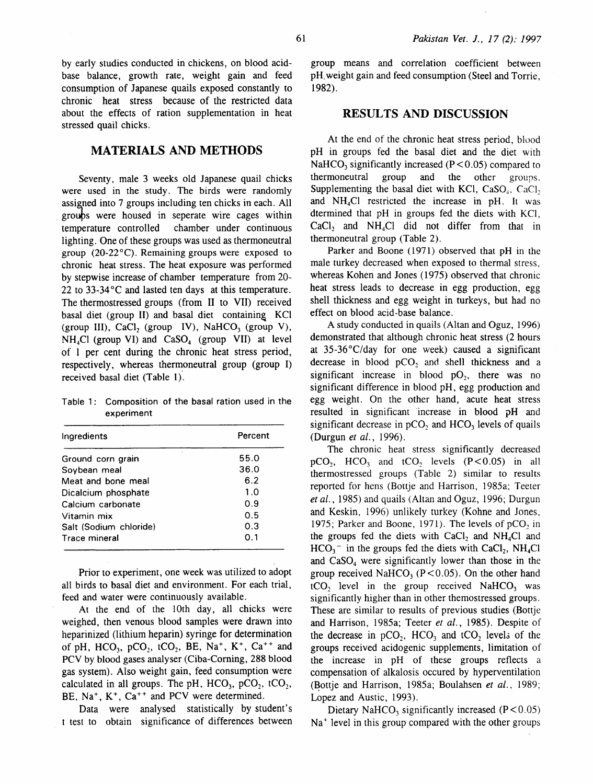by early studies conducted in chickens, on blood acidbase balance, growth rate, weight gain and feed consumption of Japanese quails exposed constantly to chronic heat stress because of the restricted data about the effects of ration supplementation in heat stressed quail chicks.

# MATERIALS AND METHODS

Seventy, male 3 weeks old Japanese quail chicks were used in the study. The birds were randomly assigned into 7 groups including ten chicks in each. All groups were housed in seperate wire cages within temperature controlled chamber under continuous lighting. One of these groups was used as thermoneutral group (20-22°C). Remaining groups were exposed to chronic heat stress. The heat exposure was performed by stepwise increase of chamber temperature from 20- 22 to  $33-34$  °C and lasted ten days at this temperature. The thermostressed groups (from II to VII) received basal diet (group II) and basal diet containing KCl (group III), CaCl, (group IV), NaHCO<sub>3</sub> (group V),  $NH<sub>4</sub>Cl$  (group VI) and  $CaSO<sub>4</sub>$  (group VII) at level of 1 per cent during the chronic heat stress period, respectively, whereas thermoneutral group (group I) received basal diet (Table 1).

Table 1: Composition of the basal ration used in the experiment

| Percent |  |
|---------|--|
| 55.0    |  |
| 36.0    |  |
| 6.2     |  |
| 1.0     |  |
| 0.9     |  |
| 0.5     |  |
| 0.3     |  |
| 0.1     |  |
|         |  |

Prior to experiment, one week was utilized to adopt all birds to basal diet and environment. For each trial, feed and water were continuously available.

At the end of the 1Oth day, all chicks were weighed, then venous blood samples were drawn into heparinized (lithium heparin) syringe for determination of pH, HCO<sub>3</sub>, pCO<sub>2</sub>, tCO<sub>2</sub>, BE, Na<sup>+</sup>, K<sup>+</sup>, Ca<sup>++</sup> and PCV by blood gases analyser (Ciba-Coming, 288 blood gas system). Also weight gain, feed consumption were calculated in all groups. The pH,  $HCO<sub>3</sub>$ , pCO<sub>2</sub>, tCO<sub>2</sub>, BE,  $Na^+$ ,  $K^+$ ,  $Ca^{++}$  and PCV were determined.

Data were analysed statistically by student's t test to obtain significance of differences between group means and correlation coefficient between pH. weight gain and feed consumption (Steel and Torrie, 1982).

## RESULTS AND DISCUSSION

At the end of the chronic heat stress period, blood pH in groups fed the basal diet and the diet with NaHCO<sub>3</sub> significantly increased ( $P < 0.05$ ) compared to thermoneutral group and the other groups. Supplementing the basal diet with KCl,  $CaSO<sub>4</sub>$ ,  $CaCl<sub>2</sub>$ , and NH4Cl restricted the increase in pH. It was dtermined that pH in groups fed the diets with KCl,  $CaCl<sub>2</sub>$  and  $NH<sub>4</sub>Cl$  did not differ from that in thermoneutral group (Table 2).

Parker and Boone (1971) observed that pH in the male turkey decreased when exposed to thermal stress, whereas Kohen and Jones (1975) observed that chronic heat stress leads to decrease in egg production, egg shell thickness and egg weight in turkeys, but had no effect on blood acid-base balance.

A study conducted in quails (Altan and Oguz, 1996) demonstrated that although chronic heat stress (2 hours at 35-36°C/day for one week) caused a significant decrease in blood pCO<sub>2</sub> and shell thickness and a significant increase in blood  $pO_2$ , there was no significant difference in blood pH, egg production and egg weight. On the other hand, acute heat stress resulted in significant 'increase in blood pH and significant decrease in  $pCO<sub>2</sub>$  and  $HCO<sub>3</sub>$  levels of quails (Durgun *et al.* , 1996).

The chronic heat stress significantly decreased  $pCO<sub>2</sub>$ ,  $HCO<sub>3</sub>$  and tCO<sub>2</sub> levels  $(P<0.05)$  in all thermostressed groups (Table 2) similar to results reported for hens (Bottje and Harrison, 1985a; Teeter *et al.,* 1985) and quails (Altan and Oguz, 1996; Durgun and Keskin, 1996) unlikely turkey (Kohne and Jones, 1975; Parker and Boone, 1971). The levels of  $pCO$ , in the groups fed the diets with  $CaCl<sub>2</sub>$  and  $NH<sub>4</sub>Cl$  and  $HCO<sub>3</sub>$ <sup>-</sup> in the groups fed the diets with CaCl<sub>2</sub>, NH<sub>4</sub>Cl and  $CaSO<sub>4</sub>$  were significantly lower than those in the group received NaHCO<sub>3</sub> ( $\dot{P}$  < 0.05). On the other hand  $tCO$ , level in the group received NaHCO<sub>3</sub> was significantly higher than in other themostressed groups. These are similar to results of previous studies (Bottje and Harrison, 1985a; Teeter *et al.,* 1985). Despite of the decrease in  $pCO<sub>2</sub>$ , HCO<sub>3</sub> and tCO<sub>2</sub> levels of the groups received acidogenic supplements, limitation of the increase in pH of these groups reflects a compensation of alkalosis occured by hyperventilation (Bottje and Harrison, 1985a; Boulahsen et al., 1989; Lopez and Austic, 1993).

Dietary NaHCO<sub>3</sub> significantly increased  $(P < 0.05)$  $Na<sup>+</sup>$  level in this group compared with the other groups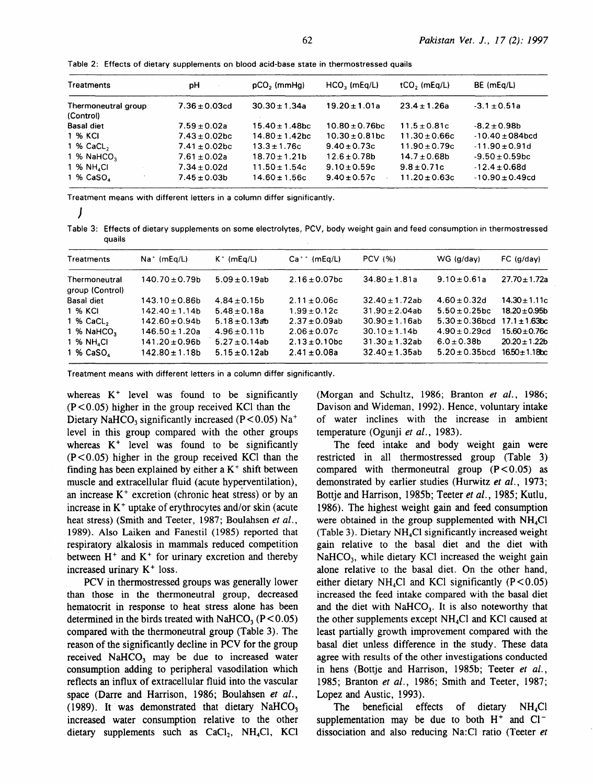| Treatments             | рH                 | $pCO2$ (mmHg)       | $HCO3$ (mEq/L)      | $tCO$ , (mEq/L)   | BE (mEg/L)           |
|------------------------|--------------------|---------------------|---------------------|-------------------|----------------------|
| Thermoneutral group    | $7.36 \pm 0.03$ cd | $30.30 \pm 1.34a$   | $19.20 \pm 1.01a$   | $23.4 \pm 1.26a$  | $-3.1 \pm 0.51a$     |
| (Control)              |                    |                     |                     |                   |                      |
| <b>Basal diet</b>      | $7.59 \pm 0.02a$   | $15.40 \pm 1.48$ bc | $10.80 \pm 0.76$ bc | $11.5 \pm 0.81c$  | $-8.2 \pm 0.98$ b    |
| 1 % KCI                | $7.43 \pm 0.02$ bc | $14.80 \pm 1.42$ bc | $10.30 \pm 0.81$ bc | $11.30 \pm 0.66c$ | $-10.40 \pm 084$ bcd |
| $1\%$ CaCL,            | $7.41 \pm 0.02$ bc | $13.3 \pm 1.76c$    | $9.40 \pm 0.73c$    | $11.90 \pm 0.79c$ | $-11.90 \pm 0.91d$   |
| 1 % NaHCO <sub>3</sub> | $7.61 \pm 0.02a$   | $18.70 \pm 1.21b$   | $12.6 \pm 0.78b$    | $14.7 \pm 0.68$ b | $-9.50 \pm 0.59$ bc  |
| 1 % NH, CI             | $7.34 \pm 0.02$ d  | $11.50 \pm 1.54c$   | $9.10 + 0.59c$      | $9.8 \pm 0.71c$   | $-12.4 \pm 0.68$ d   |
| 1 % CaSO               | $7.45 \pm 0.03b$   | $14.60 \pm 1.56c$   | $9.40 \pm 0.57c$    | $11.20 \pm 0.63c$ | $-10.90 \pm 0.49$ cd |

Table 2: Effects of dietary supplements on blood acid-base state in thermostressed quails

Treatment means with different letters in a column differ significantly.

| I<br>i |  |
|--------|--|

Table 3: Effects of dietary supplements on some electrolytes, PCV, body weight gain and feed consumption in thermostressed quails

| Treatments                       | $Na^+$ (mEq/L)      | $K^+$ (mEq/L)      | $Ca^{++}$ (mEq/L)  | <b>PCV (%)</b>      | $WG$ (g/day)                           | FC (g/day)          |
|----------------------------------|---------------------|--------------------|--------------------|---------------------|----------------------------------------|---------------------|
| Thermoneutral<br>group (Control) | $140.70 \pm 0.79b$  | $5.09 \pm 0.19$ ab | $2.16 \pm 0.07$ bc | $34.80 \pm 1.81a$   | $9.10 \pm 0.61a$                       | $27.70 \pm 1.72a$   |
| <b>Basal diet</b>                | $143.10 \pm 0.86$ b | $4.84 \pm 0.15b$   | $2.11 \pm 0.06c$   | $32.40 \pm 1.72$ ab | $4.60 \pm 0.32$ d                      | $14.30 \pm 1.11c$   |
| 1 % KCI                          | $142.40 \pm 1.14b$  | $5.48 \pm 0.18a$   | $1.99 \pm 0.12c$   | $31.90 \pm 2.04ab$  | $5.50 \pm 0.25$ bc                     | $18.20 \pm 0.95b$   |
| $1%$ CaCL,                       | $142.60 \pm 0.94b$  | $5.18 \pm 0.13$ ab | $2.37 \pm 0.09$ ab | $30.90 \pm 1.16$ ab | $5.30 \pm 0.36$ bcd $17.1 \pm 1.63$ bc |                     |
| 1 % NaHCO <sub>2</sub>           | $146.50 \pm 1.20a$  | $4.96 \pm 0.11b$   | $2.06 \pm 0.07c$   | $30.10 \pm 1.14$ b  | $4.90 \pm 0.29$ cd                     | $15.60 \pm 0.76c$   |
| 1 % NH CI                        | $141.20 \pm 0.96b$  | $5.27 \pm 0.14$ ab | $2.13 \pm 0.10$ bc | $31.30 \pm 1.32$ ab | $6.0 \pm 0.38$ b                       | $20.20 \pm 1.22b$   |
| 1 % CaSO <sub>4</sub>            | $142.80 \pm 1.18b$  | $5.15 \pm 0.12$ ab | $2.41 \pm 0.08a$   | $32.40 \pm 1.35$ ab | $5.20 \pm 0.35$ bcd                    | $16.50 \pm 1.18$ bc |

Treatment means with different letters in a column differ significantly.

whereas  $K^+$  level was found to be significantly  $(P<0.05)$  higher in the group received KCl than the Dietary NaHCO<sub>3</sub> significantly increased (P < 0.05) Na<sup>+</sup> level in this group compared with the other groups whereas  $K^+$  level was found to be significantly  $(P<0.05)$  higher in the group received KCl than the finding has been explained by either a  $K^+$  shift between muscle and extracellular fluid (acute hyperventilation), an increase  $K^+$  excretion (chronic heat stress) or by an increase in  $K^+$  uptake of erythrocytes and/or skin (acute heat stress) (Smith and Teeter, 1987; Boulahsen *et al.,*  1989). Also Laiken and Fanestil (1985) reported that respiratory alkalosis in mammals reduced competition between  $H^+$  and  $K^+$  for urinary excretion and thereby increased urinary  $K^+$  loss.

PCV in thermostressed groups was generally lower than those in the thermoneutral group, decreased hematocrit in response to heat stress alone has been determined in the birds treated with NaHCO<sub>3</sub> ( $P < 0.05$ ) compared with the thermoneutral group (Table 3). The reason of the significantly decline in PCV for the group received NaHCO<sub>3</sub> may be due to increased water consumption adding to peripheral vasodilation which reflects an influx of extracellular fluid into the vascular space (Darre and Harrison, 1986; Boulahsen *et al.,*  (1989). It was demonstrated that dietary NaHCO<sub>3</sub> increased water consumption relative to the other dietary supplements such as  $CaCl<sub>2</sub>$ , NH<sub>4</sub>Cl, KCl (Morgan and Schultz, 1986; Branton *et al.,* 1986; Davison and Wideman, 1992). Hence, voluntary intake of water inclines with the increase in ambient temperature (Ogunji et al., 1983).

The feed intake and body weight gain were restricted in all thermostressed group (Table 3) compared with thermoneutral group  $(P<0.05)$  as demonstrated by earlier studies (Hurwitz *et al.,* 1973; Bottje and Harrison, 1985b; Teeter *et al.,* 1985; Kutlu, 1986). The highest weight gain and feed consumption were obtained in the group supplemented with  $NH<sub>4</sub>Cl$ (Table 3). Dietary NH4Cl significantly increased weight gain relative to the basal diet and the diet with  $NaHCO<sub>3</sub>$ , while dietary KCl increased the weight gain alone relative to the basal diet. On the other hand, either dietary NH<sub>4</sub>Cl and KCl significantly  $(P < 0.05)$ increased the feed intake compared with the basal diet and the diet with  $NAHCO<sub>3</sub>$ . It is also noteworthy that the other supplements except  $NH<sub>4</sub>Cl$  and KCl caused at least partially growth improvement compared with the basal diet unless difference in the study. These data agree with results of the other investigations conducted in hens (Bottje and Harrison, 1985b; Teeter *et al.,*  1985; Branton *et al.,* 1986; Smith and Teeter, 1987; Lopez and Austic, 1993).

The beneficial effects of dietary  $NH<sub>4</sub>Cl$ supplementation may be due to both  $H^+$  and  $Cl^$ dissociation and also reducing Na:Cl ratio (Teeter *et*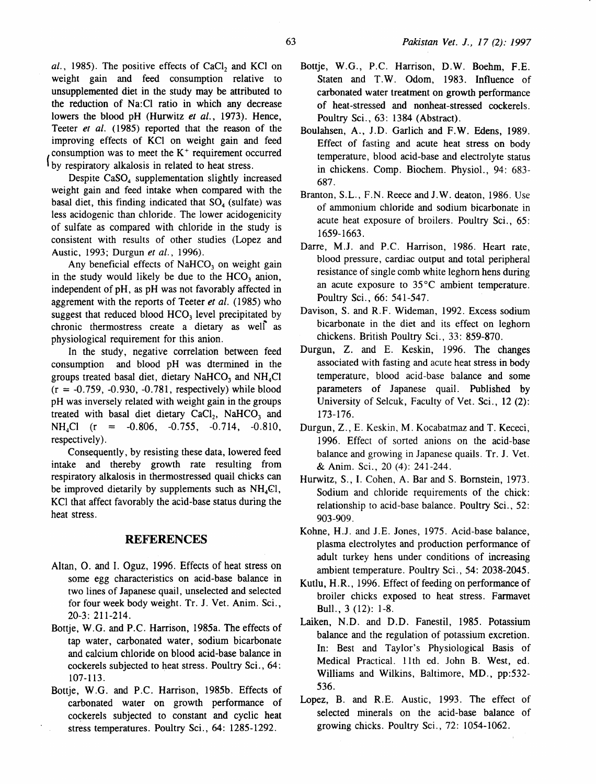al., 1985). The positive effects of CaCl<sub>2</sub> and KCl on weight gain and feed consumption relative to unsupplemented diet in the study may be attributed to the reduction of Na: Cl ratio in which any decrease lowers the blood pH (Hurwitz *et al.,* 1973). Hence, Teeter *et al.* (1985) reported that the reason of the improving effects of KCl on weight gain and feed by respiratory alkalosis in related to heat stress. consumption was to meet the  $K^+$  requirement occurred

Despite CaSO<sub>4</sub> supplementation slightly increased weight gain and feed intake when compared with the basal diet, this finding indicated that  $SO<sub>4</sub>$  (sulfate) was less acidogenic than chloride. The lower acidogenicity of sulfate as compared with chloride in the study is consistent with results of other studies (Lopez and Austic, 1993; Durgun *et al.,* 1996).

Any beneficial effects of  $NAHCO<sub>3</sub>$  on weight gain in the study would likely be due to the  $HCO<sub>3</sub>$  anion, independent of pH, as pH was not favorably affected in aggrement with the reports of Teeter *et al.* (1985) who suggest that reduced blood  $HCO<sub>3</sub>$  level precipitated by chronic thermostress create a dietary as well as physiological requirement for this anion.

In the study, negative correlation between feed consumption and blood pH was dtermined in the groups treated basal diet, dietary NaHCO<sub>3</sub> and NH<sub>4</sub>Cl  $(r = -0.759, -0.930, -0.781,$  respectively) while blood pH was inversely related with weight gain in the groups treated with basal diet dietary  $CaCl<sub>2</sub>$ , NaHCO<sub>3</sub> and **NH4Cl (r = -0.806, -0.755, -0.714, -0.810,**  respectively).

Consequently, by resisting these data, lowered feed intake and thereby growth rate resulting from respiratory alkalosis in thermostressed quail chicks can be improved dietarily by supplements such as  $NH<sub>4</sub>Cl$ , KCl that affect favorably the acid-base status during the heat stress.

#### **REFERENCES**

- Altan, 0. and I. Oguz, 1996. Effects of heat stress on some egg characteristics on acid-base balance in two lines of Japanese quail, unselected and selected for four week body weight. Tr. J. Vet. Anim. Sci., 20-3: 211-214.
- Bottje, W.G. and P.C. Harrison, 1985a. The effects of tap water, carbonated water, sodium bicarbonate and calcium chloride on blood acid-base balance in cockerels subjected to heat stress. Poultry Sci., 64: 107-113.
- Bottje, W.G. and P.C. Harrison, 1985b. Effects of carbonated water on growth performance of cockerels subjected to constant and cyclic heat stress temperatures. Poultry Sci., 64: 1285-1292.
- Bottje, W.G., P.C. Harrison, D.W. Boehm, F.E. Staten and T.W. Odom, 1983. Influence of carbonated water treatment on growth performance of heat-stressed and nonheat-stressed cockerels. Poultry Sci., 63: 1384 (Abstract).
- Boulahsen, A., J.D. Garlich and F.W. Edens, 1989. Effect of fasting and acute heat stress on body temperature, blood acid-base and electrolyte status in chickens. Comp. Biochem. Physiol., 94: 683- 687.
- Branton, S.L., F.N. Reece and J.W. deaton, 1986. Use of ammonium chloride and sodium bicarbonate in acute heat exposure of broilers. Poultry Sci., 65: 1659-1663.
- Darre, M.J. and P.C. Harrison, 1986. Heart rate, blood pressure, cardiac output and total peripheral resistance of single comb white leghorn hens during an acute exposure to  $35^{\circ}$ C ambient temperature. Poultry Sci., 66: 541-547.
- Davison, S. and R.F. Wideman, 1992. Excess sodium bicarbonate in the diet and its effect on leghorn chickens. British Poultry Sci., 33: 859-870.
- Durgun, Z. and E. Keskin, 1996. The changes associated with fasting and acute heat stress in body temperature, blood acid-base balance and some parameters of Japanese quail. Published by University of Selcuk, Faculty of Vet. Sci., 12 (2): 173-176.
- Durgun, Z., E. Keskin, M. Kocabatmaz and T. Kececi, 1996. Effect of sorted anions on the acid-base balance and growing in Japanese quails. Tr. J. Vet. & Anim. Sci., 20 (4): 241-244.
- Hurwitz, S., I. Cohen, A. Bar and S. Bomstein, 1973. Sodium and chloride requirements of the chick: relationship to acid-base balance. Poultry Sci., 52: 903-909.
- Kohne, H.J. and J.E. Jones, 1975. Acid-base balance, plasma electrolytes and production performance of adult turkey hens under conditions of increasing ambient temperature. Poultry Sci., 54: 2038-2045.
- Kutlu, H.R., 1996. Effect of feeding on performance of broiler chicks exposed to heat stress. Farmavet Bull. , 3 (12): 1-8.
- Laiken, N.D. and D.D. Fanestil, 1985. Potassium balance and the regulation of potassium excretion. In: Best and Taylor's Physiological Basis of Medical Practical. lith ed. John B. West, ed. Williams and Wilkins, Baltimore, MD., pp:532- 536.
- Lopez, B. and R.E. Austic, 1993. The effect of selected minerals on the acid-base balance of growing chicks. Poultry Sci., 72: 1054-1062.